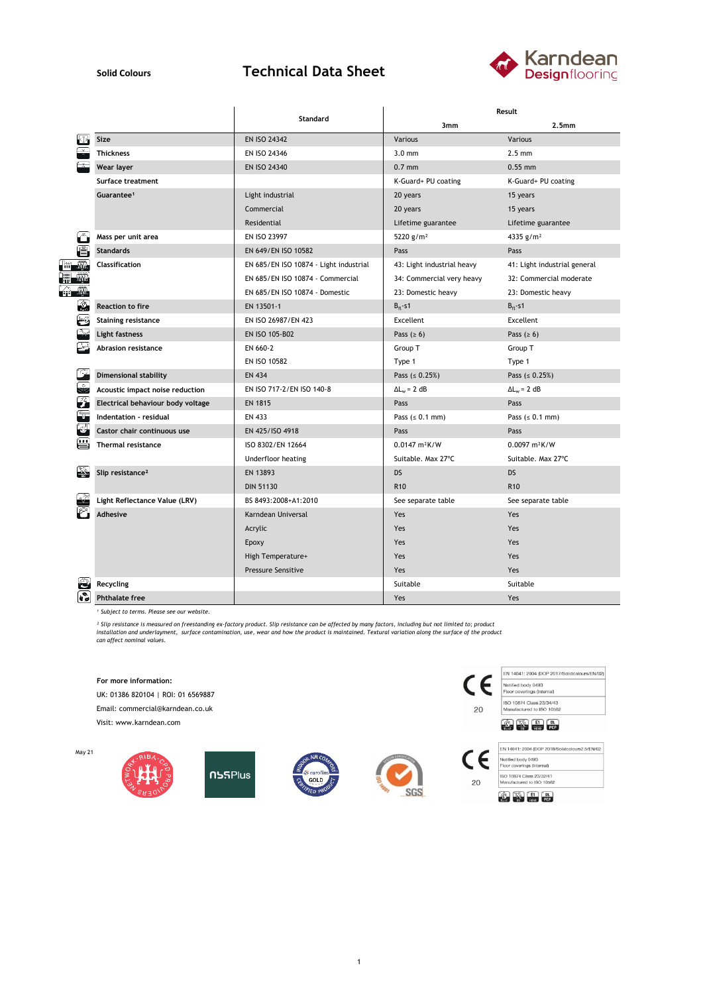## **Solid Colours Technical Data Sheet**



|               |                                   |                                        | Result                          |                              |  |
|---------------|-----------------------------------|----------------------------------------|---------------------------------|------------------------------|--|
|               |                                   | Standard                               | 3mm                             | 2.5 <sub>mm</sub>            |  |
|               | Size                              | <b>EN ISO 24342</b>                    | Various                         | Various                      |  |
|               | <b>Thickness</b>                  | EN ISO 24346                           | $3.0$ mm                        | $2.5 \text{ mm}$             |  |
|               | Wear layer                        | EN ISO 24340                           | $0.7$ mm                        | $0.55$ mm                    |  |
|               | <b>Surface treatment</b>          |                                        | K-Guard+ PU coating             | K-Guard+ PU coating          |  |
|               | Guarantee <sup>1</sup>            | Light industrial                       | 20 years                        | 15 years<br>15 years         |  |
|               |                                   | Commercial                             | 20 years                        |                              |  |
|               |                                   | Residential                            | Lifetime guarantee              | Lifetime guarantee           |  |
|               | Mass per unit area                | <b>EN ISO 23997</b>                    | 5220 $g/m^2$                    | 4335 $g/m2$                  |  |
|               | <b>Standards</b>                  | EN 649/EN ISO 10582                    | Pass                            | Pass                         |  |
|               | Classification                    | EN 685/EN ISO 10874 - Light industrial | 43: Light industrial heavy      | 41: Light industrial general |  |
|               |                                   | EN 685/EN ISO 10874 - Commercial       | 34: Commercial very heavy       | 32: Commercial moderate      |  |
| <u>ce in</u>  |                                   | EN 685/EN ISO 10874 - Domestic         | 23: Domestic heavy              | 23: Domestic heavy           |  |
| $\mathcal{L}$ | <b>Reaction to fire</b>           | EN 13501-1                             | $B_{fl}$ -s1                    | $B_{fl}$ -s1                 |  |
| $-\zeta_0$    | <b>Staining resistance</b>        | EN ISO 26987/EN 423                    | Excellent                       | Excellent                    |  |
|               | Light fastness                    | EN ISO 105-B02                         | Pass $(≥ 6)$                    | Pass $(2 6)$                 |  |
|               | Abrasion resistance               | EN 660-2                               | Group T                         | Group T                      |  |
|               |                                   | EN ISO 10582                           | Type 1                          | Type 1                       |  |
|               | <b>Dimensional stability</b>      | <b>EN 434</b>                          | Pass $( \le 0.25\%)$            | Pass ( $\leq 0.25\%$ )       |  |
| ÷             | Acoustic impact noise reduction   | EN ISO 717-2/EN ISO 140-8              | $\Delta L_w = 2 dB$             | $\Delta L_w = 2 dB$          |  |
| 3             | Electrical behaviour body voltage | <b>EN 1815</b>                         | Pass                            | Pass                         |  |
|               | Indentation - residual            | EN 433                                 | Pass $(s 0.1 mm)$               | Pass $(s 0.1 mm)$            |  |
|               | Castor chair continuous use       | EN 425/ISO 4918                        | Pass                            | Pass                         |  |
| <b>TEST</b>   | <b>Thermal resistance</b>         | ISO 8302/EN 12664                      | $0.0147 \text{ m}^2 \text{K/W}$ | $0.0097 m^2K/W$              |  |
|               |                                   | Underfloor heating                     | Suitable. Max 27°C              | Suitable. Max 27°C           |  |
| $\mathbb{Z}$  | Slip resistance <sup>2</sup>      | EN 13893                               | <b>DS</b>                       | <b>DS</b>                    |  |
|               |                                   | <b>DIN 51130</b>                       | R <sub>10</sub>                 | R <sub>10</sub>              |  |
| $\sqrt{2}$    | Light Reflectance Value (LRV)     | BS 8493:2008+A1:2010                   | See separate table              | See separate table           |  |
|               | <b>Adhesive</b>                   | Karndean Universal                     | Yes                             | Yes                          |  |
|               |                                   | Acrylic                                | Yes                             | Yes                          |  |
|               |                                   | Epoxy                                  | Yes                             | Yes                          |  |
|               |                                   | High Temperature+                      | Yes                             | Yes                          |  |
|               |                                   | <b>Pressure Sensitive</b>              | Yes                             | Yes                          |  |
|               | Recycling                         |                                        | Suitable                        | Suitable                     |  |
| ତି            | <b>Phthalate free</b>             |                                        | Yes                             | Yes                          |  |

*¹ Subject to terms. Please see our website.*

<sup>2</sup> Slip resistance is measured on freestanding ex-factory product. Slip resistance can be affected by many factors, including but not limited to; product<br>installation and underlayment, surface contamination, use, wear and



UK: 01386 820104 | ROI: 01 6569887

Email: commercial@karndean.co.uk

Visit: www.karndean.com

May 21











 $20$